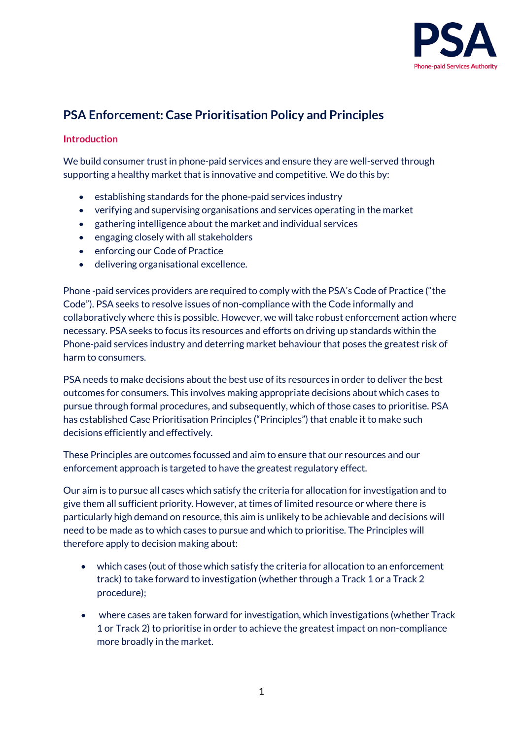

# **PSA Enforcement: Case Prioritisation Policy and Principles**

#### **Introduction**

We build consumer trust in phone-paid services and ensure they are well-served through supporting a healthy market that is innovative and competitive. We do this by:

- establishing standards for the phone-paid services industry
- verifying and supervising organisations and services operating in the market
- gathering intelligence about the market and individual services
- engaging closely with all stakeholders
- enforcing our Code of Practice
- delivering organisational excellence.

Phone -paid services providers are required to comply with the PSA's Code of Practice ("the Code"). PSA seeks to resolve issues of non-compliance with the Code informally and collaboratively where this is possible. However, we will take robust enforcement action where necessary. PSA seeks to focus its resources and efforts on driving up standards within the Phone-paid services industry and deterring market behaviour that poses the greatest risk of harm to consumers.

PSA needs to make decisions about the best use of its resources in order to deliver the best outcomes for consumers. This involves making appropriate decisions about which cases to pursue through formal procedures, and subsequently, which of those cases to prioritise. PSA has established Case Prioritisation Principles ("Principles") that enable it to make such decisions efficiently and effectively.

These Principles are outcomes focussed and aim to ensure that our resources and our enforcement approach is targeted to have the greatest regulatory effect.

Our aim is to pursue all cases which satisfy the criteria for allocation for investigation and to give them all sufficient priority. However, at times of limited resource or where there is particularly high demand on resource, this aim is unlikely to be achievable and decisions will need to be made as to which cases to pursue and which to prioritise. The Principles will therefore apply to decision making about:

- which cases (out of those which satisfy the criteria for allocation to an enforcement track) to take forward to investigation (whether through a Track 1 or a Track 2 procedure);
- where cases are taken forward for investigation, which investigations (whether Track 1 or Track 2) to prioritise in order to achieve the greatest impact on non-compliance more broadly in the market.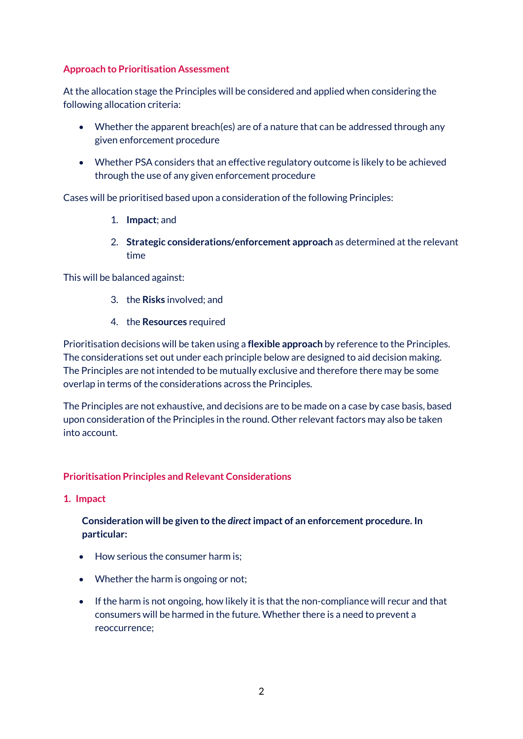## **Approach to Prioritisation Assessment**

At the allocation stage the Principles will be considered and applied when considering the following allocation criteria:

- Whether the apparent breach(es) are of a nature that can be addressed through any given enforcement procedure
- Whether PSA considers that an effective regulatory outcome is likely to be achieved through the use of any given enforcement procedure

Cases will be prioritised based upon a consideration of the following Principles:

- 1. **Impact**; and
- 2. **Strategic considerations/enforcement approach** as determined at the relevant time

This will be balanced against:

- 3. the **Risks** involved; and
- 4. the **Resources** required

Prioritisation decisions will be taken using a **flexible approach** by reference to the Principles. The considerations set out under each principle below are designed to aid decision making. The Principles are not intended to be mutually exclusive and therefore there may be some overlap in terms of the considerations across the Principles.

The Principles are not exhaustive, and decisions are to be made on a case by case basis, based upon consideration of the Principles in the round. Other relevant factors may also be taken into account.

## **Prioritisation Principles and Relevant Considerations**

**1. Impact**

# **Consideration will be given to the** *direct* **impact of an enforcement procedure. In particular:**

- How serious the consumer harm is;
- Whether the harm is ongoing or not;
- If the harm is not ongoing, how likely it is that the non-compliance will recur and that consumers will be harmed in the future. Whether there is a need to prevent a reoccurrence;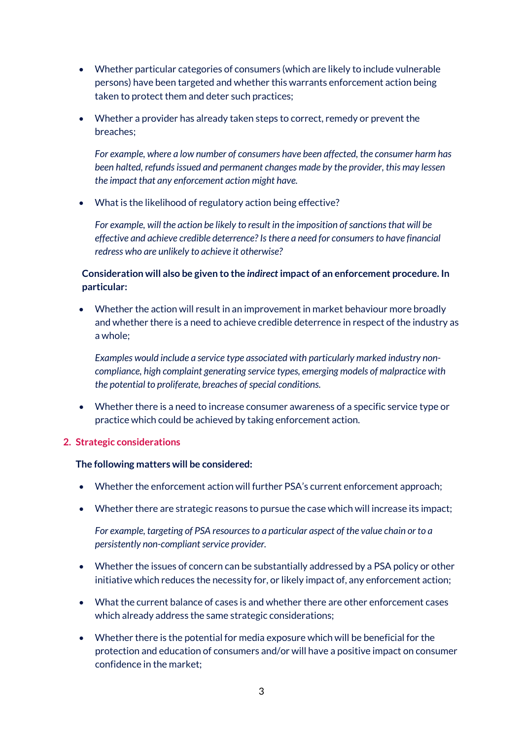- Whether particular categories of consumers (which are likely to include vulnerable persons) have been targeted and whether this warrants enforcement action being taken to protect them and deter such practices;
- Whether a provider has already taken steps to correct, remedy or prevent the breaches;

*For example, where a low number of consumers have been affected, the consumer harm has been halted, refunds issued and permanent changes made by the provider, this may lessen the impact that any enforcement action might have.*

• What is the likelihood of regulatory action being effective?

*For example, will the action be likely to result in the imposition of sanctions that will be effective and achieve credible deterrence? Is there a need for consumers to have financial redress who are unlikely to achieve it otherwise?*

## **Consideration will also be given to the** *indirect* **impact of an enforcement procedure. In particular:**

• Whether the action will result in an improvement in market behaviour more broadly and whether there is a need to achieve credible deterrence in respect of the industry as a whole;

*Examples would include a service type associated with particularly marked industry noncompliance, high complaint generating service types, emerging models of malpractice with the potential to proliferate, breaches of special conditions.*

• Whether there is a need to increase consumer awareness of a specific service type or practice which could be achieved by taking enforcement action.

#### **2. Strategic considerations**

#### **The following matters will be considered:**

- Whether the enforcement action will further PSA's current enforcement approach;
- Whether there are strategic reasons to pursue the case which will increase its impact;

*For example, targeting of PSA resources to a particular aspect of the value chain or to a persistently non-compliant service provider.*

- Whether the issues of concern can be substantially addressed by a PSA policy or other initiative which reduces the necessity for, or likely impact of, any enforcement action;
- What the current balance of cases is and whether there are other enforcement cases which already address the same strategic considerations;
- Whether there is the potential for media exposure which will be beneficial for the protection and education of consumers and/or will have a positive impact on consumer confidence in the market;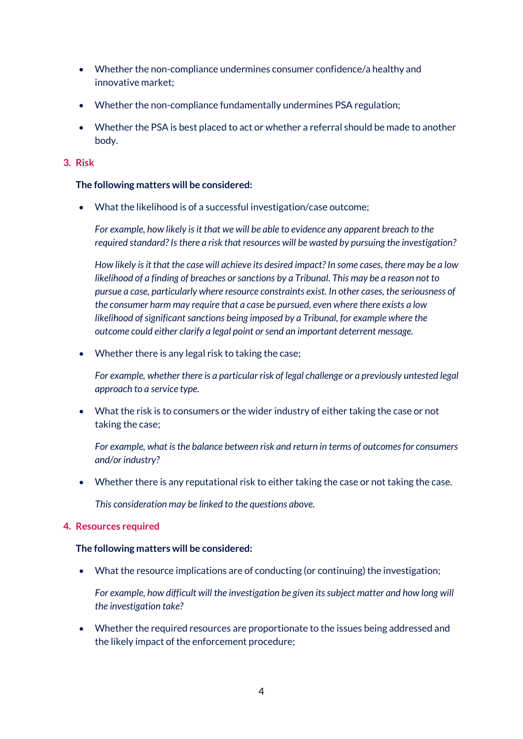- Whether the non-compliance undermines consumer confidence/a healthy and innovative market;
- Whether the non-compliance fundamentally undermines PSA regulation;
- Whether the PSA is best placed to act or whether a referral should be made to another body.

## **3. Risk**

### **The following matters will be considered:**

• What the likelihood is of a successful investigation/case outcome;

*For example, how likely is it that we will be able to evidence any apparent breach to the required standard? Is there a risk that resources will be wasted by pursuing the investigation?*

*How likely is it that the case will achieve its desired impact? In some cases, there may be a low likelihood of a finding of breaches or sanctions by a Tribunal. This may be a reason not to pursue a case, particularly where resource constraints exist. In other cases, the seriousness of the consumer harm may require that a case be pursued, even where there exists a low likelihood of significant sanctions being imposed by a Tribunal, for example where the outcome could either clarify a legal point or send an important deterrent message.*

• Whether there is any legal risk to taking the case;

*For example, whether there is a particular risk of legal challenge or a previously untested legal approach to a service type.*

• What the risk is to consumers or the wider industry of either taking the case or not taking the case;

*For example, what is the balance between risk and return in terms of outcomes for consumers and/or industry?*

• Whether there is any reputational risk to either taking the case or not taking the case.

*This consideration may be linked to the questions above.*

#### **4. Resources required**

#### **The following matters will be considered:**

• What the resource implications are of conducting (or continuing) the investigation;

*For example, how difficult will the investigation be given its subject matter and how long will the investigation take?*

• Whether the required resources are proportionate to the issues being addressed and the likely impact of the enforcement procedure;